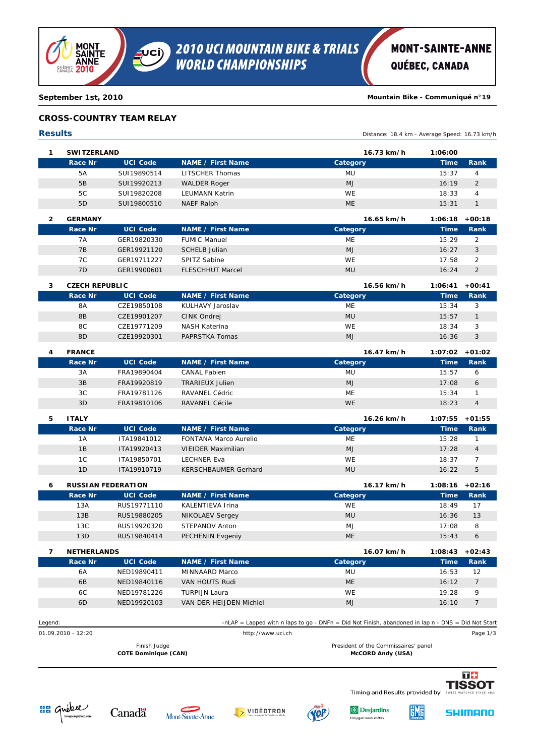

## **MONT-SAINTE-ANNE**

QUÉBEC, CANADA

**September 1st, 2010 Mountain Bike - Communiqué n°19**

#### **CROSS-COUNTRY TEAM RELAY**

| $\mathbf{1}$<br>$\overline{2}$<br>3<br>4 | <b>SWITZERLAND</b><br>Race Nr<br><b>5A</b><br>5B<br>5C<br>5D<br><b>GERMANY</b><br><b>Race Nr</b><br>7A<br>7B<br>7C<br>7D<br><b>CZECH REPUBLIC</b><br><b>Race Nr</b><br><b>8A</b><br>8B<br>8C | <b>UCI Code</b><br>SUI19890514<br>SUI19920213<br>SUI19820208<br>SUI19800510<br><b>UCI Code</b><br>GER19820330<br>GER19921120<br>GER19711227<br>GER19900601<br><b>UCI Code</b> | <b>NAME / First Name</b><br><b>LITSCHER Thomas</b><br><b>WALDER Roger</b><br><b>LEUMANN Katrin</b><br><b>NAEF Ralph</b><br><b>NAME / First Name</b><br><b>FUMIC Manuel</b><br><b>SCHELB Julian</b><br>SPITZ Sabine<br><b>FLESCHHUT Marcel</b> | 16.73 km/h<br>Category<br>MU<br>MJ<br>WE<br><b>ME</b><br>16.65 km/h<br>Category<br>ME<br><b>MJ</b><br>WE | 1:06:00<br><b>Time</b><br>15:37<br>16:19<br>18:33<br>15:31<br>1:06:18<br><b>Time</b><br>15:29<br>16:27 | Rank<br>$\overline{4}$<br>$\overline{2}$<br>$\overline{4}$<br>$\mathcal{I}$<br>$+00:18$<br>Rank<br>$\overline{2}$ |
|------------------------------------------|----------------------------------------------------------------------------------------------------------------------------------------------------------------------------------------------|-------------------------------------------------------------------------------------------------------------------------------------------------------------------------------|-----------------------------------------------------------------------------------------------------------------------------------------------------------------------------------------------------------------------------------------------|----------------------------------------------------------------------------------------------------------|--------------------------------------------------------------------------------------------------------|-------------------------------------------------------------------------------------------------------------------|
|                                          |                                                                                                                                                                                              |                                                                                                                                                                               |                                                                                                                                                                                                                                               |                                                                                                          |                                                                                                        |                                                                                                                   |
|                                          |                                                                                                                                                                                              |                                                                                                                                                                               |                                                                                                                                                                                                                                               |                                                                                                          |                                                                                                        |                                                                                                                   |
|                                          |                                                                                                                                                                                              |                                                                                                                                                                               |                                                                                                                                                                                                                                               |                                                                                                          |                                                                                                        |                                                                                                                   |
|                                          |                                                                                                                                                                                              |                                                                                                                                                                               |                                                                                                                                                                                                                                               |                                                                                                          |                                                                                                        |                                                                                                                   |
|                                          |                                                                                                                                                                                              |                                                                                                                                                                               |                                                                                                                                                                                                                                               |                                                                                                          |                                                                                                        |                                                                                                                   |
|                                          |                                                                                                                                                                                              |                                                                                                                                                                               |                                                                                                                                                                                                                                               |                                                                                                          |                                                                                                        |                                                                                                                   |
|                                          |                                                                                                                                                                                              |                                                                                                                                                                               |                                                                                                                                                                                                                                               |                                                                                                          |                                                                                                        |                                                                                                                   |
|                                          |                                                                                                                                                                                              |                                                                                                                                                                               |                                                                                                                                                                                                                                               |                                                                                                          |                                                                                                        |                                                                                                                   |
|                                          |                                                                                                                                                                                              |                                                                                                                                                                               |                                                                                                                                                                                                                                               |                                                                                                          |                                                                                                        |                                                                                                                   |
|                                          |                                                                                                                                                                                              |                                                                                                                                                                               |                                                                                                                                                                                                                                               |                                                                                                          |                                                                                                        | 3                                                                                                                 |
|                                          |                                                                                                                                                                                              |                                                                                                                                                                               |                                                                                                                                                                                                                                               |                                                                                                          | 17:58                                                                                                  | $\overline{2}$                                                                                                    |
|                                          |                                                                                                                                                                                              |                                                                                                                                                                               |                                                                                                                                                                                                                                               | <b>MU</b>                                                                                                | 16:24                                                                                                  | $\overline{2}$                                                                                                    |
|                                          |                                                                                                                                                                                              |                                                                                                                                                                               |                                                                                                                                                                                                                                               | 16.56 km/h                                                                                               | 1:06:41                                                                                                | $+00:41$                                                                                                          |
|                                          |                                                                                                                                                                                              |                                                                                                                                                                               | <b>NAME / First Name</b>                                                                                                                                                                                                                      | Category                                                                                                 | <b>Time</b>                                                                                            | Rank                                                                                                              |
|                                          |                                                                                                                                                                                              | CZE19850108                                                                                                                                                                   | KULHAVY Jaroslav                                                                                                                                                                                                                              | <b>ME</b>                                                                                                | 15:34                                                                                                  | 3                                                                                                                 |
|                                          |                                                                                                                                                                                              | CZE19901207                                                                                                                                                                   | CINK Ondrej                                                                                                                                                                                                                                   | <b>MU</b>                                                                                                | 15:57                                                                                                  | $\mathcal{I}$                                                                                                     |
|                                          |                                                                                                                                                                                              | CZE19771209                                                                                                                                                                   | <b>NASH Katerina</b>                                                                                                                                                                                                                          | WE                                                                                                       | 18:34                                                                                                  | 3                                                                                                                 |
|                                          | 8D                                                                                                                                                                                           | CZE19920301                                                                                                                                                                   | PAPRSTKA Tomas                                                                                                                                                                                                                                | MJ                                                                                                       | 16:36                                                                                                  | 3                                                                                                                 |
|                                          |                                                                                                                                                                                              |                                                                                                                                                                               |                                                                                                                                                                                                                                               |                                                                                                          |                                                                                                        |                                                                                                                   |
|                                          | <b>FRANCE</b>                                                                                                                                                                                |                                                                                                                                                                               |                                                                                                                                                                                                                                               | 16.47 km/h                                                                                               | 1:07:02                                                                                                | $+01:02$                                                                                                          |
|                                          | <b>Race Nr</b>                                                                                                                                                                               | <b>UCI Code</b>                                                                                                                                                               | <b>NAME / First Name</b>                                                                                                                                                                                                                      | Category                                                                                                 | <b>Time</b>                                                                                            | Rank                                                                                                              |
|                                          | 3A                                                                                                                                                                                           | FRA19890404                                                                                                                                                                   | <b>CANAL Fabien</b>                                                                                                                                                                                                                           | MU                                                                                                       | 15:57                                                                                                  | 6                                                                                                                 |
|                                          | 3B                                                                                                                                                                                           | FRA19920819                                                                                                                                                                   | <b>TRARIEUX Julien</b>                                                                                                                                                                                                                        | MJ                                                                                                       | 17:08                                                                                                  | 6                                                                                                                 |
|                                          | 3C                                                                                                                                                                                           | FRA19781126                                                                                                                                                                   | RAVANEL Cédric                                                                                                                                                                                                                                | ME                                                                                                       | 15:34                                                                                                  | $\mathcal{I}$                                                                                                     |
|                                          | 3D                                                                                                                                                                                           | FRA19810106                                                                                                                                                                   | <b>RAVANEL Cécile</b>                                                                                                                                                                                                                         | <b>WE</b>                                                                                                | 18:23                                                                                                  | $\overline{4}$                                                                                                    |
| 5                                        | <b>ITALY</b>                                                                                                                                                                                 |                                                                                                                                                                               |                                                                                                                                                                                                                                               | 16.26 km/h                                                                                               | 1:07:55                                                                                                | $+01:55$                                                                                                          |
|                                          | <b>Race Nr</b>                                                                                                                                                                               | <b>UCI Code</b>                                                                                                                                                               | <b>NAME / First Name</b>                                                                                                                                                                                                                      | Category                                                                                                 | <b>Time</b>                                                                                            | Rank                                                                                                              |
|                                          | 1A                                                                                                                                                                                           | ITA19841012                                                                                                                                                                   | FONTANA Marco Aurelio                                                                                                                                                                                                                         | ME                                                                                                       | 15:28                                                                                                  | $\mathcal I$                                                                                                      |
|                                          | 1B                                                                                                                                                                                           | ITA19920413                                                                                                                                                                   | <b>VIEIDER Maximilian</b>                                                                                                                                                                                                                     | MJ                                                                                                       | 17:28                                                                                                  | $\overline{4}$                                                                                                    |
|                                          | 1 <sup>C</sup>                                                                                                                                                                               | ITA19850701                                                                                                                                                                   | <b>LECHNER Eva</b>                                                                                                                                                                                                                            | WE                                                                                                       | 18:37                                                                                                  | 7                                                                                                                 |
|                                          | 1D                                                                                                                                                                                           | ITA19910719                                                                                                                                                                   | <b>KERSCHBAUMER Gerhard</b>                                                                                                                                                                                                                   | <b>MU</b>                                                                                                | 16:22                                                                                                  | 5                                                                                                                 |
| 6                                        |                                                                                                                                                                                              | <b>RUSSIAN FEDERATION</b>                                                                                                                                                     |                                                                                                                                                                                                                                               | 16.17 km/h                                                                                               | 1:08:16                                                                                                | $+02:16$                                                                                                          |
|                                          | <b>Race Nr</b>                                                                                                                                                                               | <b>UCI Code</b>                                                                                                                                                               | <b>NAME / First Name</b>                                                                                                                                                                                                                      | Category                                                                                                 | <b>Time</b>                                                                                            | Rank                                                                                                              |
|                                          | 13A                                                                                                                                                                                          | RUS19771110                                                                                                                                                                   | KALENTIEVA Irina                                                                                                                                                                                                                              | <b>WE</b>                                                                                                | 18:49                                                                                                  | 17                                                                                                                |
|                                          | 13B                                                                                                                                                                                          | RUS19880205                                                                                                                                                                   | <b>NIKOLAEV Sergey</b>                                                                                                                                                                                                                        | <b>MU</b>                                                                                                | 16:36                                                                                                  | 13                                                                                                                |
|                                          | 13C                                                                                                                                                                                          | RUS19920320                                                                                                                                                                   | STEPANOV Anton                                                                                                                                                                                                                                | MJ                                                                                                       | 17:08                                                                                                  | 8                                                                                                                 |
|                                          | 13D                                                                                                                                                                                          | RUS19840414                                                                                                                                                                   | PECHENIN Evgeniy                                                                                                                                                                                                                              | ME                                                                                                       | 15:43                                                                                                  | 6                                                                                                                 |
|                                          |                                                                                                                                                                                              |                                                                                                                                                                               |                                                                                                                                                                                                                                               |                                                                                                          |                                                                                                        |                                                                                                                   |
| $\overline{7}$                           | <b>NETHERLANDS</b>                                                                                                                                                                           |                                                                                                                                                                               |                                                                                                                                                                                                                                               | 16.07 km/h                                                                                               | 1:08:43                                                                                                | $+02:43$                                                                                                          |
|                                          | <b>Race Nr</b>                                                                                                                                                                               | <b>UCI Code</b>                                                                                                                                                               | <b>NAME / First Name</b>                                                                                                                                                                                                                      | Category                                                                                                 | <b>Time</b>                                                                                            | Rank                                                                                                              |
|                                          | 6A                                                                                                                                                                                           | NED19890411                                                                                                                                                                   | MINNAARD Marco                                                                                                                                                                                                                                | MU                                                                                                       | 16:53                                                                                                  | 12                                                                                                                |
|                                          | 6B                                                                                                                                                                                           | NED19840116                                                                                                                                                                   | VAN HOUTS Rudi                                                                                                                                                                                                                                | ME                                                                                                       | 16:12                                                                                                  | 7                                                                                                                 |
|                                          | 6C                                                                                                                                                                                           | NED19781226                                                                                                                                                                   | <b>TURPIJN Laura</b>                                                                                                                                                                                                                          | WE                                                                                                       | 19:28                                                                                                  | 9                                                                                                                 |
|                                          | 6D                                                                                                                                                                                           | NED19920103                                                                                                                                                                   | VAN DER HEIJDEN Michiel                                                                                                                                                                                                                       | <b>MJ</b>                                                                                                | 16:10                                                                                                  | 7                                                                                                                 |
| Legend:                                  |                                                                                                                                                                                              |                                                                                                                                                                               |                                                                                                                                                                                                                                               | -nLAP = Lapped with n laps to go - DNFn = Did Not Finish, abandoned in lap n - DNS = Did Not Start       |                                                                                                        |                                                                                                                   |
|                                          | 01.09.2010 - 12:20                                                                                                                                                                           |                                                                                                                                                                               | http://www.uci.ch                                                                                                                                                                                                                             |                                                                                                          |                                                                                                        | Page 1/3                                                                                                          |
|                                          |                                                                                                                                                                                              | Finish Judge                                                                                                                                                                  |                                                                                                                                                                                                                                               | President of the Commissaires' panel                                                                     |                                                                                                        |                                                                                                                   |
|                                          |                                                                                                                                                                                              | <b>COTE Dominique (CAN)</b>                                                                                                                                                   |                                                                                                                                                                                                                                               | McCORD Andy (USA)                                                                                        |                                                                                                        |                                                                                                                   |
|                                          |                                                                                                                                                                                              |                                                                                                                                                                               |                                                                                                                                                                                                                                               |                                                                                                          |                                                                                                        | $T +$                                                                                                             |
|                                          |                                                                                                                                                                                              |                                                                                                                                                                               |                                                                                                                                                                                                                                               | Timing and Results provided by                                                                           |                                                                                                        |                                                                                                                   |
|                                          |                                                                                                                                                                                              |                                                                                                                                                                               |                                                                                                                                                                                                                                               |                                                                                                          |                                                                                                        |                                                                                                                   |

(JOP)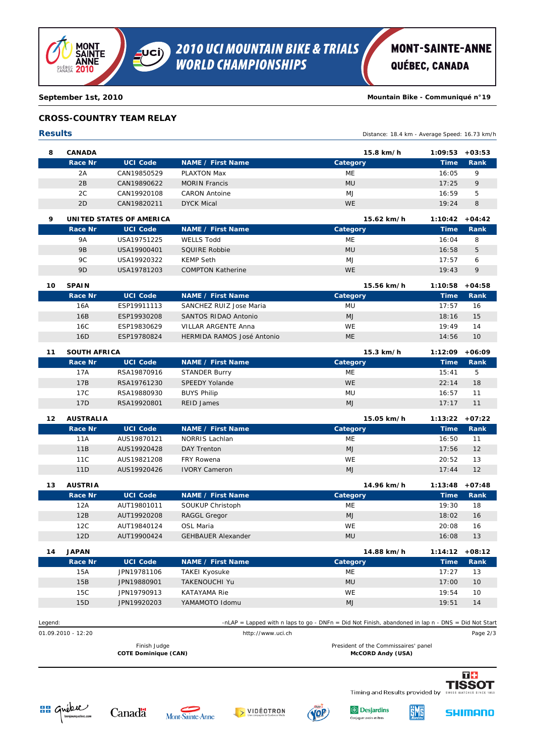

## **MONT-SAINTE-ANNE**

QUÉBEC, CANADA

**September 1st, 2010 Mountain Bike - Communiqué n°19**

#### **CROSS-COUNTRY TEAM RELAY**

### **Results** Distance: 18.4 km - Average Speed: 16.73 km/h **8 CANADA 15.8 km/h 1:09:53 +03:53 Race Nr UCI Code NAME / First Name Category Time Rank** 2A CAN19850529 ME PLAXTON Max 16:05 *9* 2B CAN19890622 MU MORIN Francis 17:25 *9* 2C CAN19920108 MJ CARON Antoine 16:59 *5* 2D CAN19820211 WE DYCK Mical 19:24 *8* **9 UNITED STATES OF AMERICA 15.62 km/h 1:10:42 +04:42 Race Nr UCI Code NAME / First Name Category Time Rank** 9A USA19751225 ME WELLS Todd 16:04 *8* 9B USA19900401 MU SQUIRE Robbie 16:58 *5* 9C USA19920322 MJ KEMP Seth 17:57 *6* 9D USA19781203 WE COMPTON Katherine 19:43 *9* **10 SPAIN 15.56 km/h 1:10:58 +04:58 Race Nr UCI Code NAME / First Name Category Time Rank** 16A ESP19911113 SANCHEZ RUIZ Jose Maria 17:57 16 16B ESP19930208 MJ SANTOS RIDAO Antonio 18:16 *15* 16C ESP19830629 WE VILLAR ARGENTE Anna 19:49 *14* 16D ESP19780824 ME HERMIDA RAMOS José Antonio 14:56 *10* **11 SOUTH AFRICA 15.3 km/h 1:12:09 +06:09 Race Nr UCI Code NAME / First Name Category Time Rank** 17A RSA19870916 STANDER Burry **17A** ME ME 15:41 5 17B RSA19761230 WE SPEEDY Yolande 22:14 *18* 17C RSA19880930 MU BUYS Philip 16:57 *11* 17D RSA19920801 MJ REID James 17:17 *11* **12 AUSTRALIA 15.05 km/h 1:13:22 +07:22 Race Nr UCI Code NAME / First Name Category Time Rank** 11A AUS19870121 ME NORRIS Lachlan 16:50 *11* 11B AUS19920428 MJ DAY Trenton 17:56 *12* 11C AUS19821208 WE FRY Rowena 20:52 *13* 11D AUS19920426 MJ IVORY Cameron 17:44 *12* **13 AUSTRIA 14.96 km/h 1:13:48 +07:48 Race Nr UCI Code NAME / First Name Category Time Rank** 12A AUT19801011 SOUKUP Christoph 19:30 18 12B AUT19920208 RAGGL Gregor 18:02 16:02 16:02 16:02 16:02 16:02 16:02 16:02 16:02 16:02 16:02 16:02 16:02 16:0 12C AUT19840124 WE OSL Maria 20:08 *16* 12D AUT19900424 GEHBAUER Alexander 16:08 MU MU 16:08 13 **14 JAPAN 14.88 km/h 1:14:12 +08:12 Race Nr UCI Code NAME / First Name Category Time Rank** 15A JPN19781106 ME TAKEI Kyosuke 17:27 *13* 15B JPN19880901 MU TAKENOUCHI Yu 17:00 *10* 15C JPN19790913 WE KATAYAMA Rie 19:54 *10* 15D JPN19920203 MJ YAMAMOTO Idomu 19:51 *14* Legend: -nLAP = Lapped with n laps to go - DNFn = Did Not Finish, abandoned in lap n - DNS = Did Not Start 01.09.2010 - 12:20 http://www.uci.ch Page 2/3 Finish Judge **President of the Commissaires' panel COTE Dominique (CAN) McCORD Andy (USA)** T<sub>+</sub> **TISSOT** Timing and Results provided by **BB** Gréece

VIDÉOTRON

Canadä

Mont Sainte Anne

**S** Desjardins

O

<u>išmiš</u>

**SHIMANO**